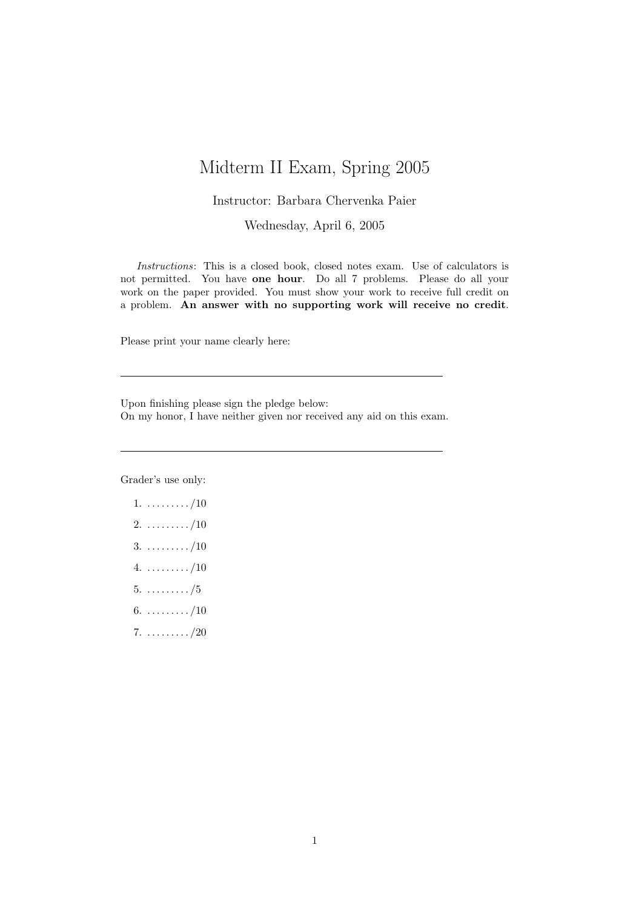## Midterm II Exam, Spring 2005

## Instructor: Barbara Chervenka Paier

Wednesday, April 6, 2005

Instructions: This is a closed book, closed notes exam. Use of calculators is not permitted. You have one hour. Do all 7 problems. Please do all your work on the paper provided. You must show your work to receive full credit on a problem. An answer with no supporting work will receive no credit.

Please print your name clearly here:

Upon finishing please sign the pledge below: On my honor, I have neither given nor received any aid on this exam.

Grader's use only:

- $1. \ldots \ldots \ldots \ldots \ldots \ldots \ldots (10)$  $2. \ldots \ldots \ldots \ldots \ldots \ldots \ldots (10)$  $3. \ldots \ldots \ldots \ldots \ldots \ldots \ldots \ldots \ldots \ldots$  $4. \ldots \ldots \ldots \ldots \ldots \ldots \ldots (10)$  $5. \ldots \ldots \ldots \frac{75}{5}$ 6.  $\dots \dots \dots / 10$  $7. \ldots \ldots \ldots \frac{720}{20}$
-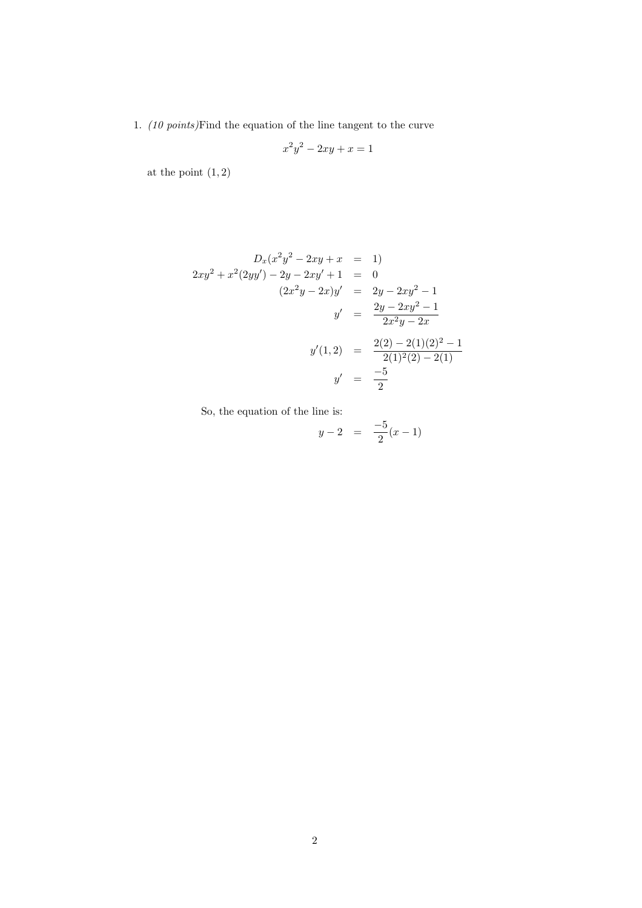1. (10 points) Find the equation of the line tangent to the curve

$$
x^2y^2 - 2xy + x = 1
$$

at the point  $(1, 2)$ 

$$
D_x(x^2y^2 - 2xy + x = 1)
$$
  
\n
$$
2xy^2 + x^2(2yy') - 2y - 2xy' + 1 = 0
$$
  
\n
$$
(2x^2y - 2x)y' = 2y - 2xy^2 - 1
$$
  
\n
$$
y' = \frac{2y - 2xy^2 - 1}{2x^2y - 2x}
$$
  
\n
$$
y'(1,2) = \frac{2(2) - 2(1)(2)^2 - 1}{2(1)^2(2) - 2(1)}
$$
  
\n
$$
y' = \frac{-5}{2}
$$

So, the equation of the line is:

$$
y - 2 = \frac{-5}{2}(x - 1)
$$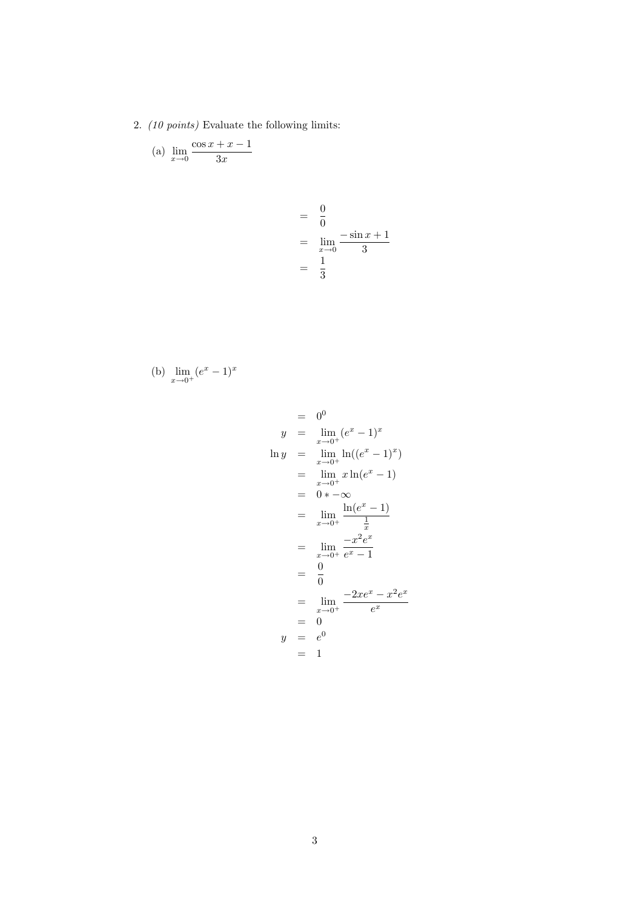2. (10 points) Evaluate the following limits:

(a) 
$$
\lim_{x \to 0} \frac{\cos x + x - 1}{3x}
$$

$$
= \frac{0}{0}
$$
  
=  $\lim_{x \to 0} \frac{-\sin x + 1}{3}$   
=  $\frac{1}{3}$ 

(b) 
$$
\lim_{x \to 0^+} (e^x - 1)^x
$$

$$
y = 0^0
$$
  
\n
$$
y = \lim_{x \to 0^+} (e^x - 1)^x
$$
  
\n
$$
\ln y = \lim_{x \to 0^+} \ln((e^x - 1)^x)
$$
  
\n
$$
= \lim_{x \to 0^+} x \ln(e^x - 1)
$$
  
\n
$$
= 0 * -\infty
$$
  
\n
$$
= \lim_{x \to 0^+} \frac{\ln(e^x - 1)}{\frac{1}{x}}
$$
  
\n
$$
= \lim_{x \to 0^+} \frac{-x^2 e^x}{e^x - 1}
$$
  
\n
$$
= \frac{0}{0}
$$
  
\n
$$
= \lim_{x \to 0^+} \frac{-2xe^x - x^2e^x}{e^x}
$$
  
\n
$$
= 0
$$
  
\n
$$
y = e^0
$$
  
\n
$$
= 1
$$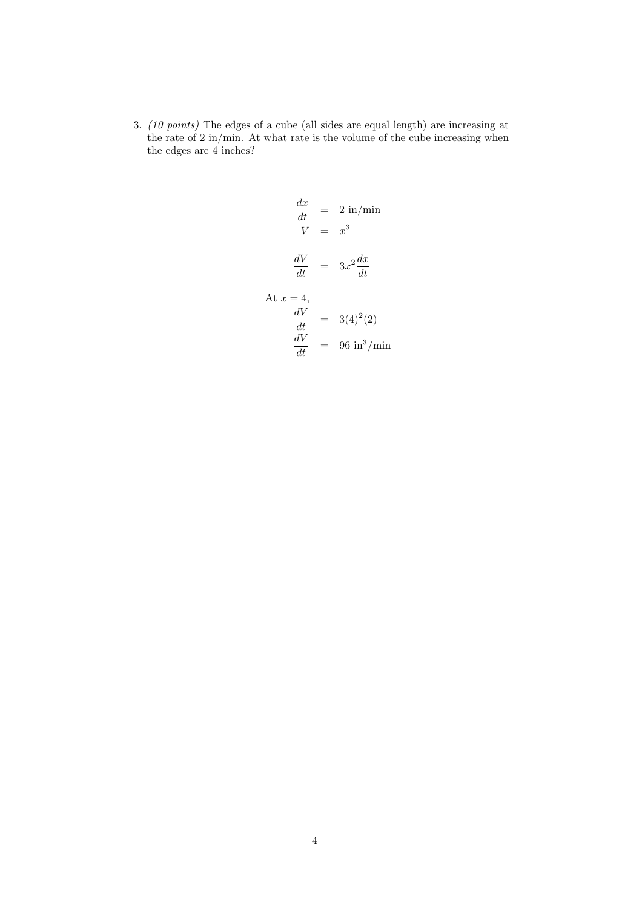3. (10 points) The edges of a cube (all sides are equal length) are increasing at the rate of 2 in/min. At what rate is the volume of the cube increasing when the edges are 4 inches?

$$
\frac{dx}{dt} = 2 \text{ in/min}
$$
\n
$$
V = x^3
$$
\n
$$
\frac{dV}{dt} = 3x^2 \frac{dx}{dt}
$$
\nAt  $x = 4$ ,  
\n
$$
\frac{dV}{dt} = 3(4)^2(2)
$$
\n
$$
\frac{dV}{dt} = 96 \text{ in}^3/\text{min}
$$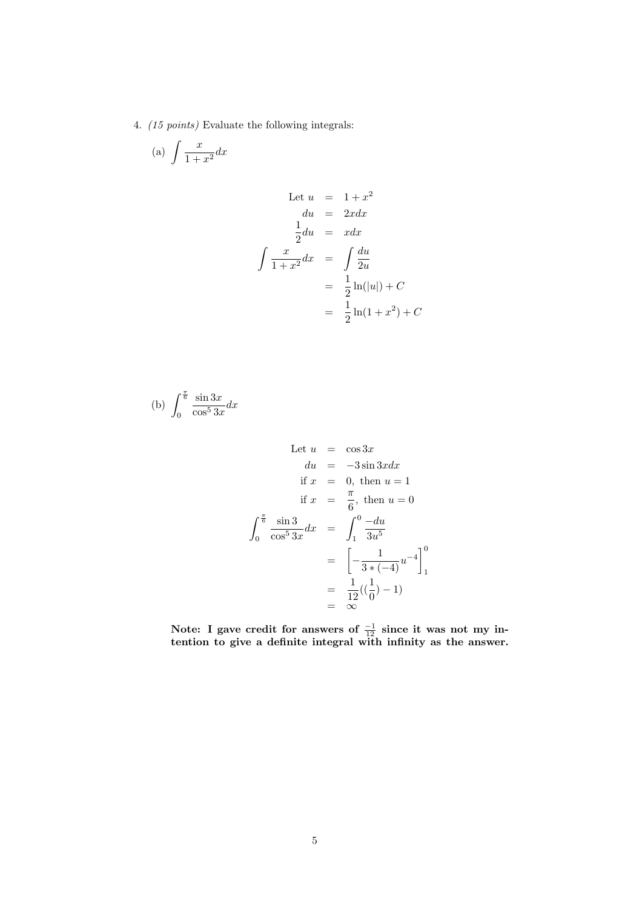4. (15 points) Evaluate the following integrals:

$$
(a) \int \frac{x}{1+x^2} dx
$$

Let 
$$
u = 1+x^2
$$
  
\n $du = 2xdx$   
\n $\frac{1}{2}du = xdx$   
\n $\int \frac{x}{1+x^2}dx = \int \frac{du}{2u}$   
\n $= \frac{1}{2}\ln(|u|) + C$   
\n $= \frac{1}{2}\ln(1+x^2) + C$ 

(b) 
$$
\int_0^{\frac{\pi}{6}} \frac{\sin 3x}{\cos^5 3x} dx
$$

Let 
$$
u = \cos 3x
$$
  
\n $du = -3 \sin 3x dx$   
\nif  $x = 0$ , then  $u = 1$   
\nif  $x = \frac{\pi}{6}$ , then  $u = 0$   
\n
$$
\int_0^{\frac{\pi}{6}} \frac{\sin 3}{\cos^5 3x} dx = \int_1^0 \frac{-du}{3u^5}
$$
\n
$$
= \left[ -\frac{1}{3*(-4)} u^{-4} \right]_1^0
$$
\n
$$
= \frac{1}{12}((\frac{1}{0}) - 1)
$$
\n
$$
= \infty
$$

Note: I gave credit for answers of  $\frac{-1}{12}$  since it was not my intention to give a definite integral with infinity as the answer.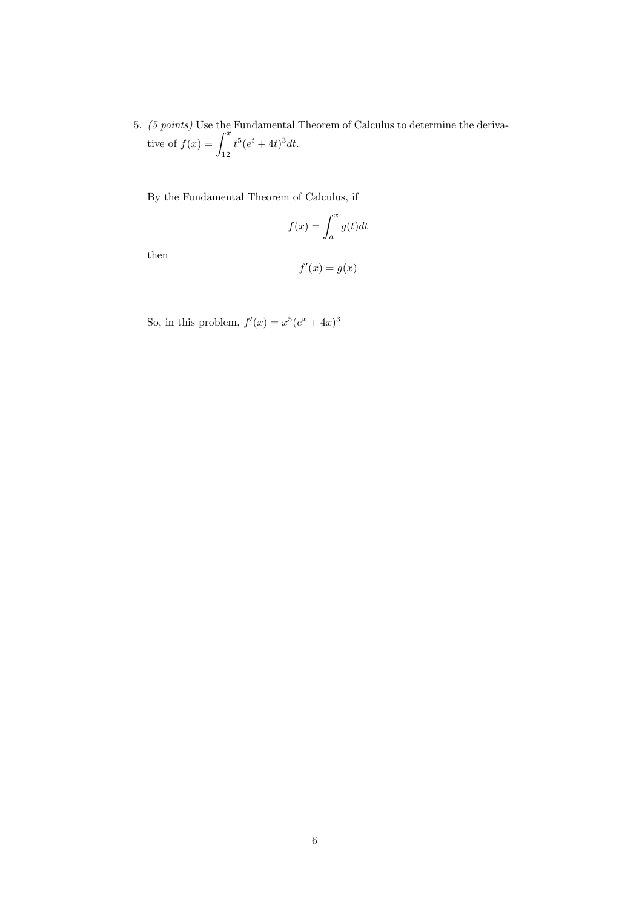5. (5 points) Use the Fundamental Theorem of Calculus to determine the deriva-(*b* points) Use the<br>tive of  $f(x) = \int^x$ 12  $t^5(e^t + 4t)^3 dt$ .

By the Fundamental Theorem of Calculus, if

$$
f(x) = \int_{a}^{x} g(t)dt
$$

then

$$
f'(x) = g(x)
$$

So, in this problem,  $f'(x) = x^5(e^x + 4x)^3$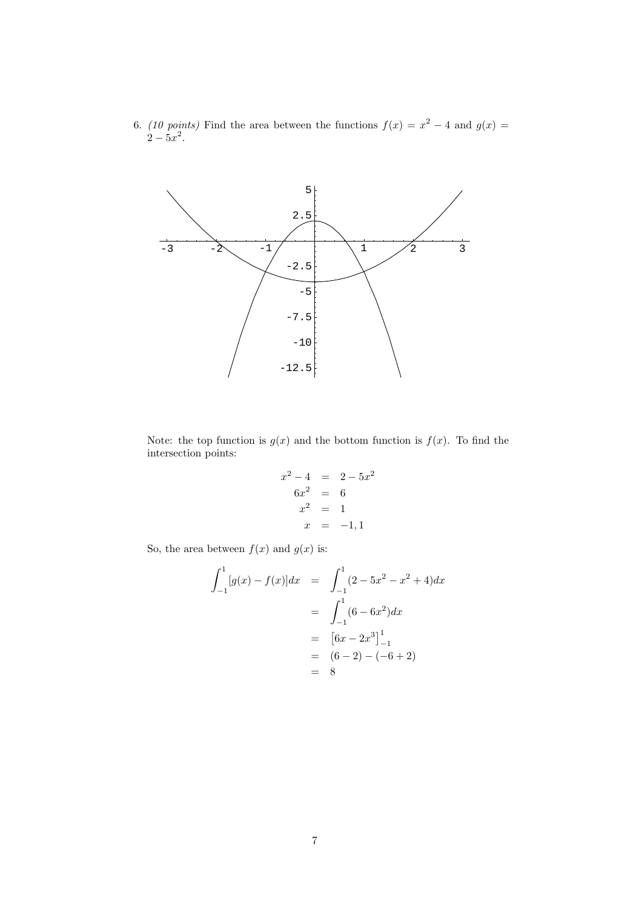6. (10 points) Find the area between the functions  $f(x) = x^2 - 4$  and  $g(x) =$  $2 - 5x^2$ .



Note: the top function is  $g(x)$  and the bottom function is  $f(x)$ . To find the intersection points:

$$
x^{2}-4 = 2-5x^{2}
$$
  
\n
$$
6x^{2} = 6
$$
  
\n
$$
x^{2} = 1
$$
  
\n
$$
x = -1, 1
$$

So, the area between  $f(x)$  and  $g(x)$  is:

$$
\int_{-1}^{1} [g(x) - f(x)]dx = \int_{-1}^{1} (2 - 5x^2 - x^2 + 4)dx
$$
  
= 
$$
\int_{-1}^{1} (6 - 6x^2)dx
$$
  
= 
$$
[6x - 2x^3]_{-1}^{1}
$$
  
= 
$$
(6 - 2) - (-6 + 2)
$$
  
= 8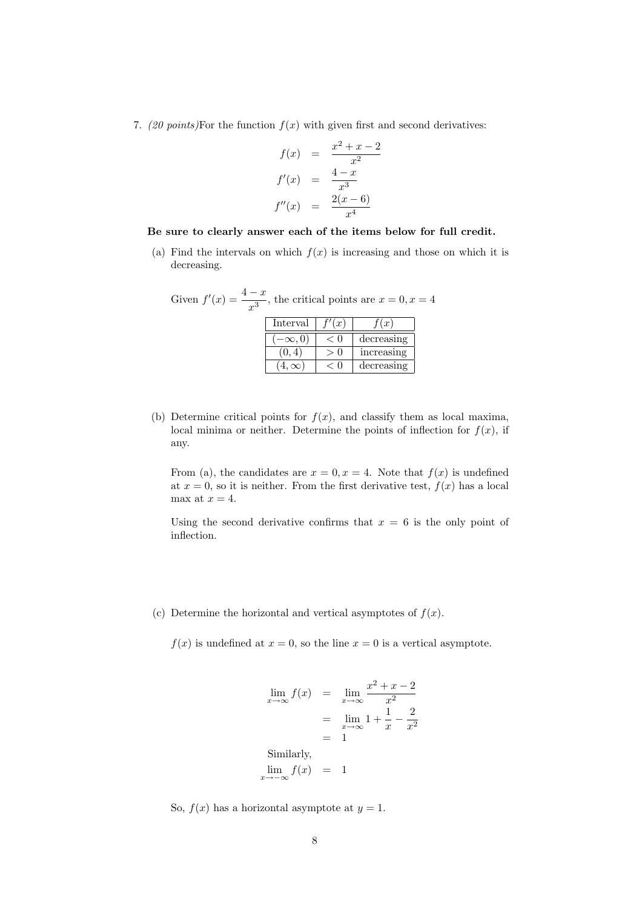7. (20 points)For the function  $f(x)$  with given first and second derivatives:

$$
f(x) = \frac{x^2 + x - 2}{x^2}
$$

$$
f'(x) = \frac{4 - x}{x^3}
$$

$$
f''(x) = \frac{2(x - 6)}{x^4}
$$

## Be sure to clearly answer each of the items below for full credit.

(a) Find the intervals on which  $f(x)$  is increasing and those on which it is decreasing.

| Given $f'(x) = \frac{4-x}{x^3}$ , the critical points are $x = 0, x = 4$ |             |       |            |  |
|--------------------------------------------------------------------------|-------------|-------|------------|--|
|                                                                          | Interval    | f'(x) | (x)        |  |
|                                                                          | $\infty, 0$ | < 0   | decreasing |  |
|                                                                          | (0, 4)      | > 0   | increasing |  |
|                                                                          |             |       | decreasing |  |

(b) Determine critical points for  $f(x)$ , and classify them as local maxima, local minima or neither. Determine the points of inflection for  $f(x)$ , if any.

From (a), the candidates are  $x = 0, x = 4$ . Note that  $f(x)$  is undefined at  $x = 0$ , so it is neither. From the first derivative test,  $f(x)$  has a local max at  $x = 4$ .

Using the second derivative confirms that  $x = 6$  is the only point of inflection.

(c) Determine the horizontal and vertical asymptotes of  $f(x)$ .

 $f(x)$  is undefined at  $x = 0$ , so the line  $x = 0$  is a vertical asymptote.

$$
\lim_{x \to \infty} f(x) = \lim_{x \to \infty} \frac{x^2 + x - 2}{x^2}
$$
\n
$$
= \lim_{x \to \infty} 1 + \frac{1}{x} - \frac{2}{x^2}
$$
\n
$$
= 1
$$
\nSimilarly,  
\n
$$
\lim_{x \to -\infty} f(x) = 1
$$

So,  $f(x)$  has a horizontal asymptote at  $y = 1$ .